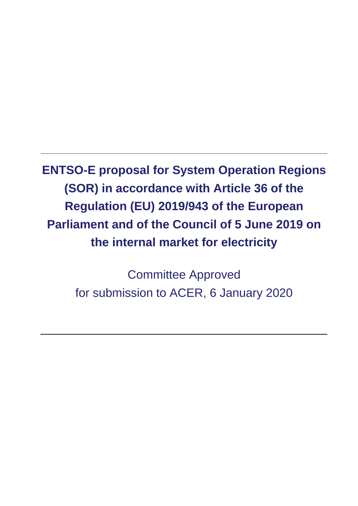**ENTSO-E proposal for System Operation Regions (SOR) in accordance with Article 36 of the Regulation (EU) 2019/943 of the European Parliament and of the Council of 5 June 2019 on the internal market for electricity**

> Committee Approved for submission to ACER, 6 January 2020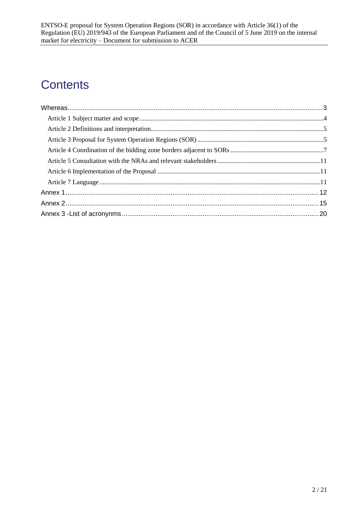# **Contents**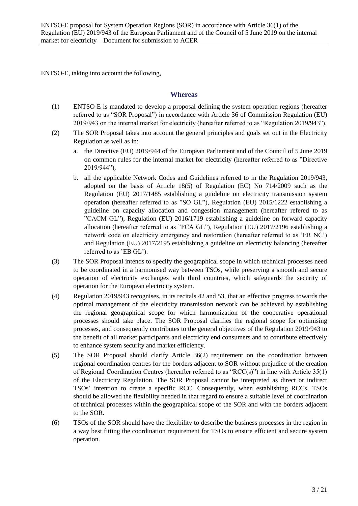ENTSO-E, taking into account the following,

#### <span id="page-2-0"></span>**Whereas**

- (1) ENTSO-E is mandated to develop a proposal defining the system operation regions (hereafter referred to as "SOR Proposal") in accordance with Article 36 of Commission Regulation (EU) 2019/943 on the internal market for electricity (hereafter referred to as "Regulation 2019/943").
- (2) The SOR Proposal takes into account the general principles and goals set out in the Electricity Regulation as well as in:
	- a. the Directive (EU) 2019/944 of the European Parliament and of the Council of 5 June 2019 on common rules for the internal market for electricity (hereafter referred to as "Directive 2019/944"),
	- b. all the applicable Network Codes and Guidelines referred to in the Regulation 2019/943, adopted on the basis of Article 18(5) of Regulation (EC) No 714/2009 such as the Regulation (EU) 2017/1485 establishing a guideline on electricity transmission system operation (hereafter referred to as "SO GL"), Regulation (EU) 2015/1222 establishing a guideline on capacity allocation and congestion management (hereafter refered to as "CACM GL"), Regulation (EU) 2016/1719 establishing a guideline on forward capacity allocation (hereafter referred to as "FCA GL"), Regulation (EU) 2017/2196 establishing a network code on electricity emergency and restoration (hereafter referred to as 'ER NC') and Regulation (EU) 2017/2195 establishing a guideline on electricity balancing (hereafter referred to as 'EB GL').
- (3) The SOR Proposal intends to specify the geographical scope in which technical processes need to be coordinated in a harmonised way between TSOs, while preserving a smooth and secure operation of electricity exchanges with third countries, which safeguards the security of operation for the European electricity system.
- (4) Regulation 2019/943 recognises, in its recitals 42 and 53, that an effective progress towards the optimal management of the electricity transmission network can be achieved by establishing the regional geographical scope for which harmonization of the cooperative operational processes should take place. The SOR Proposal clarifies the regional scope for optimising processes, and consequently contributes to the general objectives of the Regulation 2019/943 to the benefit of all market participants and electricity end consumers and to contribute effectively to enhance system security and market efficiency.
- (5) The SOR Proposal should clarify Article 36(2) requirement on the coordination between regional coordination centres for the borders adjacent to SOR without prejudice of the creation of Regional Coordination Centres (hereafter referred to as "RCC(s)") in line with Article 35(1) of the Electricity Regulation. The SOR Proposal cannot be interpreted as direct or indirect TSOs' intention to create a specific RCC. Consequently, when establishing RCCs, TSOs should be allowed the flexibility needed in that regard to ensure a suitable level of coordination of technical processes within the geographical scope of the SOR and with the borders adjacent to the SOR.
- (6) TSOs of the SOR should have the flexibility to describe the business processes in the region in a way best fitting the coordination requirement for TSOs to ensure efficient and secure system operation.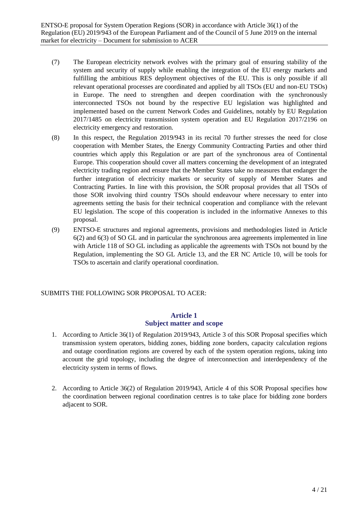- (7) The European electricity network evolves with the primary goal of ensuring stability of the system and security of supply while enabling the integration of the EU energy markets and fulfilling the ambitious RES deployment objectives of the EU. This is only possible if all relevant operational processes are coordinated and applied by all TSOs (EU and non-EU TSOs) in Europe. The need to strengthen and deepen coordination with the synchronously interconnected TSOs not bound by the respective EU legislation was highlighted and implemented based on the current Network Codes and Guidelines, notably by EU Regulation 2017/1485 on electricity transmission system operation and EU Regulation 2017/2196 on electricity emergency and restoration.
- (8) In this respect, the Regulation 2019/943 in its recital 70 further stresses the need for close cooperation with Member States, the Energy Community Contracting Parties and other third countries which apply this Regulation or are part of the synchronous area of Continental Europe. This cooperation should cover all matters concerning the development of an integrated electricity trading region and ensure that the Member States take no measures that endanger the further integration of electricity markets or security of supply of Member States and Contracting Parties. In line with this provision, the SOR proposal provides that all TSOs of those SOR involving third country TSOs should endeavour where necessary to enter into agreements setting the basis for their technical cooperation and compliance with the relevant EU legislation. The scope of this cooperation is included in the informative Annexes to this proposal.
- (9) ENTSO-E structures and regional agreements, provisions and methodologies listed in Article 6(2) and 6(3) of SO GL and in particular the synchronous area agreements implemented in line with Article 118 of SO GL including as applicable the agreements with TSOs not bound by the Regulation, implementing the SO GL Article 13, and the ER NC Article 10, will be tools for TSOs to ascertain and clarify operational coordination.

#### <span id="page-3-0"></span>SUBMITS THE FOLLOWING SOR PROPOSAL TO ACER:

## **Article 1 Subject matter and scope**

- 1. According to Article 36(1) of Regulation 2019/943, Article 3 of this SOR Proposal specifies which transmission system operators, bidding zones, bidding zone borders, capacity calculation regions and outage coordination regions are covered by each of the system operation regions, taking into account the grid topology, including the degree of interconnection and interdependency of the electricity system in terms of flows.
- 2. According to Article 36(2) of Regulation 2019/943, Article 4 of this SOR Proposal specifies how the coordination between regional coordination centres is to take place for bidding zone borders adjacent to SOR.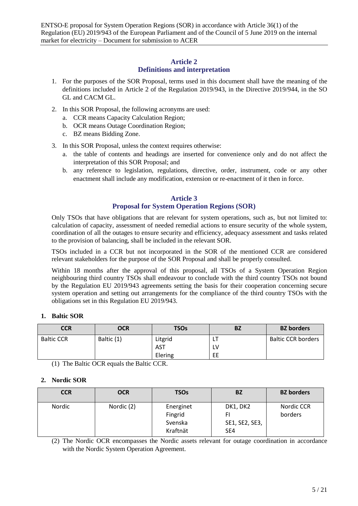#### **Article 2 Definitions and interpretation**

- <span id="page-4-0"></span>1. For the purposes of the SOR Proposal, terms used in this document shall have the meaning of the definitions included in Article 2 of the Regulation 2019/943, in the Directive 2019/944, in the SO GL and CACM GL.
- 2. In this SOR Proposal, the following acronyms are used:
	- a. CCR means Capacity Calculation Region;
	- b. OCR means Outage Coordination Region;
	- c. BZ means Bidding Zone.
- 3. In this SOR Proposal, unless the context requires otherwise:
	- a. the table of contents and headings are inserted for convenience only and do not affect the interpretation of this SOR Proposal; and
	- b. any reference to legislation, regulations, directive, order, instrument, code or any other enactment shall include any modification, extension or re-enactment of it then in force.

## **Article 3 Proposal for System Operation Regions (SOR)**

<span id="page-4-1"></span>Only TSOs that have obligations that are relevant for system operations, such as, but not limited to: calculation of capacity, assessment of needed remedial actions to ensure security of the whole system, coordination of all the outages to ensure security and efficiency, adequacy assessment and tasks related to the provision of balancing, shall be included in the relevant SOR.

TSOs included in a CCR but not incorporated in the SOR of the mentioned CCR are considered relevant stakeholders for the purpose of the SOR Proposal and shall be properly consulted.

Within 18 months after the approval of this proposal, all TSOs of a System Operation Region neighbouring third country TSOs shall endeavour to conclude with the third country TSOs not bound by the Regulation EU 2019/943 agreements setting the basis for their cooperation concerning secure system operation and setting out arrangements for the compliance of the third country TSOs with the obligations set in this Regulation EU 2019/943.

## **1. Baltic SOR**

| CCR               | <b>OCR</b> | <b>TSOs</b> | <b>BZ</b> | <b>BZ</b> borders         |
|-------------------|------------|-------------|-----------|---------------------------|
| <b>Baltic CCR</b> | Baltic (1) | Litgrid     | LI        | <b>Baltic CCR borders</b> |
|                   |            | <b>AST</b>  | L٧        |                           |
|                   |            | Elering     | EE        |                           |

(1) The Baltic OCR equals the Baltic CCR.

#### **2. Nordic SOR**

| <b>CCR</b> | <b>OCR</b> | <b>TSOs</b>                                 | BZ                                            | <b>BZ</b> borders     |
|------------|------------|---------------------------------------------|-----------------------------------------------|-----------------------|
| Nordic     | Nordic (2) | Energinet<br>Fingrid<br>Svenska<br>Kraftnät | DK1, DK2<br>SE1, SE2, SE3,<br>SE <sub>4</sub> | Nordic CCR<br>borders |

(2) The Nordic OCR encompasses the Nordic assets relevant for outage coordination in accordance with the Nordic System Operation Agreement.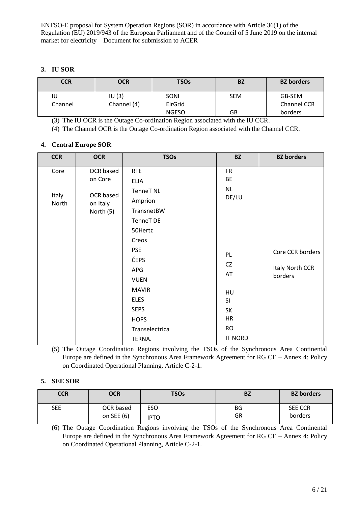## **3. IU SOR**

| <b>CCR</b> | <b>OCR</b>  | <b>TSOs</b>  | <b>BZ</b>  | <b>BZ</b> borders |
|------------|-------------|--------------|------------|-------------------|
| IU         | IU(3)       | <b>SONI</b>  | <b>SEM</b> | GB-SEM            |
| Channel    | Channel (4) | EirGrid      |            | Channel CCR       |
|            |             | <b>NGESO</b> | GB         | borders           |

(3) The IU OCR is the Outage Co-ordination Region associated with the IU CCR.

(4) The Channel OCR is the Outage Co-ordination Region associated with the Channel CCR.

#### **4. Central Europe SOR**

| <b>CCR</b>             | <b>OCR</b>                                                 | <b>TSOs</b>                                                                                                                                                                                       | <b>BZ</b>                                                          | <b>BZ</b> borders                              |
|------------------------|------------------------------------------------------------|---------------------------------------------------------------------------------------------------------------------------------------------------------------------------------------------------|--------------------------------------------------------------------|------------------------------------------------|
| Core<br>Italy<br>North | OCR based<br>on Core<br>OCR based<br>on Italy<br>North (5) | <b>RTE</b><br><b>ELIA</b><br><b>TenneT NL</b><br>Amprion<br>TransnetBW<br>TenneT DE<br>50Hertz<br>Creos<br><b>PSE</b><br>ČEPS<br>APG<br><b>VUEN</b><br><b>MAVIR</b><br><b>ELES</b><br><b>SEPS</b> | <b>FR</b><br>BE<br>NL<br>DE/LU<br>PL<br>CZ<br>AT<br>HU<br>SI<br>SK | Core CCR borders<br>Italy North CCR<br>borders |
|                        |                                                            | <b>HOPS</b><br>Transelectrica<br>TERNA.                                                                                                                                                           | HR<br><b>RO</b><br><b>IT NORD</b>                                  |                                                |

(5) The Outage Coordination Regions involving the TSOs of the Synchronous Area Continental Europe are defined in the Synchronous Area Framework Agreement for RG CE – Annex 4: Policy on Coordinated Operational Planning, Article C-2-1.

#### **5. SEE SOR**

| <b>CCR</b> | <b>OCR</b> | <b>TSOs</b> | BZ        | <b>BZ</b> borders |
|------------|------------|-------------|-----------|-------------------|
| <b>SEE</b> | OCR based  | <b>ESO</b>  | <b>BG</b> | <b>SEE CCR</b>    |
|            | on SEE (6) | IPTO        | GR        | borders           |

(6) The Outage Coordination Regions involving the TSOs of the Synchronous Area Continental Europe are defined in the Synchronous Area Framework Agreement for RG CE – Annex 4: Policy on Coordinated Operational Planning, Article C-2-1.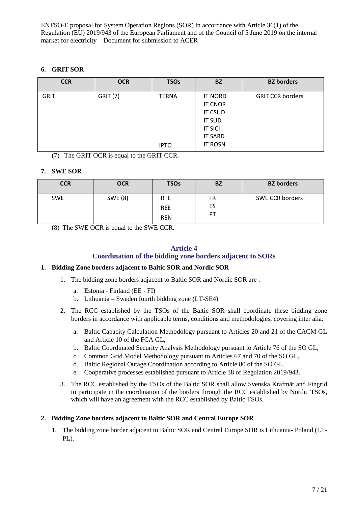## **6. GRIT SOR**

| <b>CCR</b>  | <b>OCR</b>      | <b>TSOs</b>  | <b>BZ</b>      | <b>BZ</b> borders       |
|-------------|-----------------|--------------|----------------|-------------------------|
| <b>GRIT</b> | <b>GRIT (7)</b> | <b>TERNA</b> | <b>IT NORD</b> | <b>GRIT CCR borders</b> |
|             |                 |              | <b>IT CNOR</b> |                         |
|             |                 |              | <b>IT CSUD</b> |                         |
|             |                 |              | <b>IT SUD</b>  |                         |
|             |                 |              | <b>IT SICI</b> |                         |
|             |                 |              | <b>IT SARD</b> |                         |
|             |                 | <b>IPTO</b>  | <b>IT ROSN</b> |                         |

(7) The GRIT OCR is equal to the GRIT CCR.

## **7. SWE SOR**

| <b>CCR</b> | <b>OCR</b> | <b>TSOs</b> | <b>BZ</b> | <b>BZ</b> borders |
|------------|------------|-------------|-----------|-------------------|
| <b>SWE</b> | SWE (8)    | <b>RTE</b>  | FR        | SWE CCR borders   |
|            |            | <b>REE</b>  | ES        |                   |
|            |            | <b>REN</b>  | PT        |                   |

(8) The SWE OCR is equal to the SWE CCR.

#### **Article 4 Coordination of the bidding zone borders adjacent to SORs**

#### <span id="page-6-0"></span>**1. Bidding Zone borders adjacent to Baltic SOR and Nordic SOR**

- 1. The bidding zone borders adjacent to Baltic SOR and Nordic SOR are :
	- a. Estonia Finland (EE FI)
	- b. Lithuania Sweden fourth bidding zone (LT-SE4)
- 2. The RCC established by the TSOs of the Baltic SOR shall coordinate these bidding zone borders in accordance with applicable terms, conditions and methodologies, covering inter alia:
	- a. Baltic Capacity Calculation Methodology pursuant to Articles 20 and 21 of the CACM GL and Article 10 of the FCA GL,
	- b. Baltic Coordinated Security Analysis Methodology pursuant to Article 76 of the SO GL,
	- c. Common Grid Model Methodology pursuant to Articles 67 and 70 of the SO GL,
	- d. Baltic Regional Outage Coordination according to Article 80 of the SO GL,
	- e. Cooperative processes established pursuant to Article 38 of Regulation 2019/943.
- 3. The RCC established by the TSOs of the Baltic SOR shall allow Svenska Kraftnät and Fingrid to participate in the coordination of the borders through the RCC established by Nordic TSOs, which will have an agreement with the RCC established by Baltic TSOs.

#### **2. Bidding Zone borders adjacent to Baltic SOR and Central Europe SOR**

1. The bidding zone border adjacent to Baltic SOR and Central Europe SOR is Lithuania- Poland (LT-PL).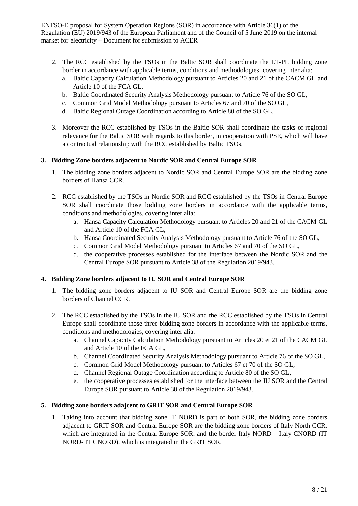- 2. The RCC established by the TSOs in the Baltic SOR shall coordinate the LT-PL bidding zone border in accordance with applicable terms, conditions and methodologies, covering inter alia:
	- a. Baltic Capacity Calculation Methodology pursuant to Articles 20 and 21 of the CACM GL and Article 10 of the FCA GL,
	- b. Baltic Coordinated Security Analysis Methodology pursuant to Article 76 of the SO GL,
	- c. Common Grid Model Methodology pursuant to Articles 67 and 70 of the SO GL,
	- d. Baltic Regional Outage Coordination according to Article 80 of the SO GL.
- 3. Moreover the RCC established by TSOs in the Baltic SOR shall coordinate the tasks of regional relevance for the Baltic SOR with regards to this border, in cooperation with PSE, which will have a contractual relationship with the RCC established by Baltic TSOs.

#### **3. Bidding Zone borders adjacent to Nordic SOR and Central Europe SOR**

- 1. The bidding zone borders adjacent to Nordic SOR and Central Europe SOR are the bidding zone borders of Hansa CCR.
- 2. RCC established by the TSOs in Nordic SOR and RCC established by the TSOs in Central Europe SOR shall coordinate those bidding zone borders in accordance with the applicable terms, conditions and methodologies, covering inter alia:
	- a. Hansa Capacity Calculation Methodology pursuant to Articles 20 and 21 of the CACM GL and Article 10 of the FCA GL,
	- b. Hansa Coordinated Security Analysis Methodology pursuant to Article 76 of the SO GL,
	- c. Common Grid Model Methodology pursuant to Articles 67 and 70 of the SO GL,
	- d. the cooperative processes established for the interface between the Nordic SOR and the Central Europe SOR pursuant to Article 38 of the Regulation 2019/943.

## **4. Bidding Zone borders adjacent to IU SOR and Central Europe SOR**

- 1. The bidding zone borders adjacent to IU SOR and Central Europe SOR are the bidding zone borders of Channel CCR.
- 2. The RCC established by the TSOs in the IU SOR and the RCC established by the TSOs in Central Europe shall coordinate those three bidding zone borders in accordance with the applicable terms, conditions and methodologies, covering inter alia:
	- a. Channel Capacity Calculation Methodology pursuant to Articles 20 et 21 of the CACM GL and Article 10 of the FCA GL,
	- b. Channel Coordinated Security Analysis Methodology pursuant to Article 76 of the SO GL,
	- c. Common Grid Model Methodology pursuant to Articles 67 et 70 of the SO GL,
	- d. Channel Regional Outage Coordination according to Article 80 of the SO GL,
	- e. the cooperative processes established for the interface between the IU SOR and the Central Europe SOR pursuant to Article 38 of the Regulation 2019/943.

#### **5. Bidding zone borders adajcent to GRIT SOR and Central Europe SOR**

1. Taking into account that bidding zone IT NORD is part of both SOR, the bidding zone borders adjacent to GRIT SOR and Central Europe SOR are the bidding zone borders of Italy North CCR, which are integrated in the Central Europe SOR, and the border Italy NORD – Italy CNORD (IT NORD- IT CNORD), which is integrated in the GRIT SOR.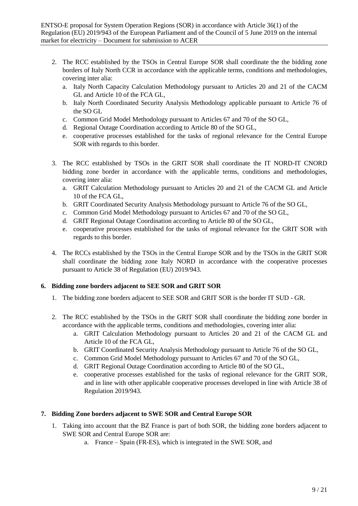- 2. The RCC established by the TSOs in Central Europe SOR shall coordinate the the bidding zone borders of Italy North CCR in accordance with the applicable terms, conditions and methodologies, covering inter alia:
	- a. Italy North Capacity Calculation Methodology pursuant to Articles 20 and 21 of the CACM GL and Article 10 of the FCA GL,
	- b. Italy North Coordinated Security Analysis Methodology applicable pursuant to Article 76 of the SO GL
	- c. Common Grid Model Methodology pursuant to Articles 67 and 70 of the SO GL,
	- d. Regional Outage Coordination according to Article 80 of the SO GL,
	- e. cooperative processes established for the tasks of regional relevance for the Central Europe SOR with regards to this border.
- 3. The RCC established by TSOs in the GRIT SOR shall coordinate the IT NORD-IT CNORD bidding zone border in accordance with the applicable terms, conditions and methodologies, covering inter alia:
	- a. GRIT Calculation Methodology pursuant to Articles 20 and 21 of the CACM GL and Article 10 of the FCA GL,
	- b. GRIT Coordinated Security Analysis Methodology pursuant to Article 76 of the SO GL,
	- c. Common Grid Model Methodology pursuant to Articles 67 and 70 of the SO GL,
	- d. GRIT Regional Outage Coordination according to Article 80 of the SO GL,
	- e. cooperative processes established for the tasks of regional relevance for the GRIT SOR with regards to this border.
- 4. The RCCs established by the TSOs in the Central Europe SOR and by the TSOs in the GRIT SOR shall coordinate the bidding zone Italy NORD in accordance with the cooperative processes pursuant to Article 38 of Regulation (EU) 2019/943.

#### **6. Bidding zone borders adjacent to SEE SOR and GRIT SOR**

- 1. The bidding zone borders adjacent to SEE SOR and GRIT SOR is the border IT SUD GR.
- 2. The RCC established by the TSOs in the GRIT SOR shall coordinate the bidding zone border in accordance with the applicable terms, conditions and methodologies, covering inter alia:
	- a. GRIT Calculation Methodology pursuant to Articles 20 and 21 of the CACM GL and Article 10 of the FCA GL,
	- b. GRIT Coordinated Security Analysis Methodology pursuant to Article 76 of the SO GL,
	- c. Common Grid Model Methodology pursuant to Articles 67 and 70 of the SO GL,
	- d. GRIT Regional Outage Coordination according to Article 80 of the SO GL,
	- e. cooperative processes established for the tasks of regional relevance for the GRIT SOR, and in line with other applicable cooperative processes developed in line with Article 38 of Regulation 2019/943.

## **7. Bidding Zone borders adjacent to SWE SOR and Central Europe SOR**

- 1. Taking into account that the BZ France is part of both SOR, the bidding zone borders adjacent to SWE SOR and Central Europe SOR are:
	- a. France Spain (FR-ES), which is integrated in the SWE SOR, and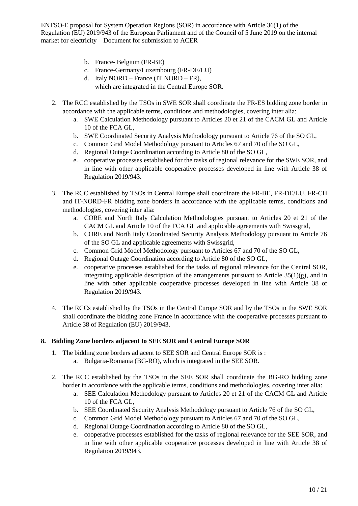- b. France- Belgium (FR-BE)
- c. France-Germany/Luxembourg (FR-DE/LU)
- d. Italy NORD France (IT NORD FR),
	- which are integrated in the Central Europe SOR.
- 2. The RCC established by the TSOs in SWE SOR shall coordinate the FR-ES bidding zone border in accordance with the applicable terms, conditions and methodologies, covering inter alia:
	- a. SWE Calculation Methodology pursuant to Articles 20 et 21 of the CACM GL and Article 10 of the FCA GL,
	- b. SWE Coordinated Security Analysis Methodology pursuant to Article 76 of the SO GL,
	- c. Common Grid Model Methodology pursuant to Articles 67 and 70 of the SO GL,
	- d. Regional Outage Coordination according to Article 80 of the SO GL,
	- e. cooperative processes established for the tasks of regional relevance for the SWE SOR, and in line with other applicable cooperative processes developed in line with Article 38 of Regulation 2019/943.
- 3. The RCC established by TSOs in Central Europe shall coordinate the FR-BE, FR-DE/LU, FR-CH and IT-NORD-FR bidding zone borders in accordance with the applicable terms, conditions and methodologies, covering inter alia:
	- a. CORE and North Italy Calculation Methodologies pursuant to Articles 20 et 21 of the CACM GL and Article 10 of the FCA GL and applicable agreements with Swissgrid,
	- b. CORE and North Italy Coordinated Security Analysis Methodology pursuant to Article 76 of the SO GL and applicable agreements with Swissgrid,
	- c. Common Grid Model Methodology pursuant to Articles 67 and 70 of the SO GL,
	- d. Regional Outage Coordination according to Article 80 of the SO GL,
	- e. cooperative processes established for the tasks of regional relevance for the Central SOR, integrating applicable description of the arrangements pursuant to Article 35(1)(g), and in line with other applicable cooperative processes developed in line with Article 38 of Regulation 2019/943.
- 4. The RCCs established by the TSOs in the Central Europe SOR and by the TSOs in the SWE SOR shall coordinate the bidding zone France in accordance with the cooperative processes pursuant to Article 38 of Regulation (EU) 2019/943.

#### **8. Bidding Zone borders adjacent to SEE SOR and Central Europe SOR**

- 1. The bidding zone borders adjacent to SEE SOR and Central Europe SOR is :
	- a. Bulgaria-Romania (BG-RO), which is integrated in the SEE SOR.
- 2. The RCC established by the TSOs in the SEE SOR shall coordinate the BG-RO bidding zone border in accordance with the applicable terms, conditions and methodologies, covering inter alia:
	- a. SEE Calculation Methodology pursuant to Articles 20 et 21 of the CACM GL and Article 10 of the FCA GL,
	- b. SEE Coordinated Security Analysis Methodology pursuant to Article 76 of the SO GL,
	- c. Common Grid Model Methodology pursuant to Articles 67 and 70 of the SO GL,
	- d. Regional Outage Coordination according to Article 80 of the SO GL,
	- e. cooperative processes established for the tasks of regional relevance for the SEE SOR, and in line with other applicable cooperative processes developed in line with Article 38 of Regulation 2019/943.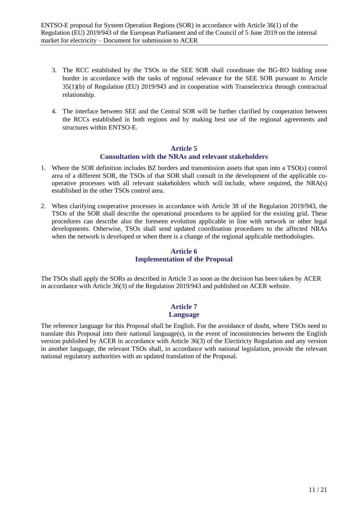- 3. The RCC established by the TSOs in the SEE SOR shall coordinate the BG-RO bidding zone border in accordance with the tasks of regional relevance for the SEE SOR pursuant to Article 35(1)(b) of Regulation (EU) 2019/943 and in cooperation with Transelectrica through contractual relationship.
- 4. The interface between SEE and the Central SOR will be further clarified by cooperation between the RCCs established in both regions and by making best use of the regional agreements and structures within ENTSO-E.

#### **Article 5 Consultation with the NRAs and relevant stakeholders**

- <span id="page-10-0"></span>1. Where the SOR definition includes BZ borders and transmission assets that span into a TSO(s) control area of a different SOR, the TSOs of that SOR shall consult in the development of the applicable cooperative processes with all relevant stakeholders which will include, where required, the NRA(s) established in the other TSOs control area.
- 2. When clarifying cooperative processes in accordance with Article 38 of the Regulation 2019/943, the TSOs of the SOR shall describe the operational procedures to be applied for the existing grid. These procedures can describe also the foreseen evolution applicable in line with network or other legal developments. Otherwise, TSOs shall send updated coordination procedures to the affected NRAs when the network is developed or when there is a change of the regional applicable methodologies.

# **Article 6 Implementation of the Proposal**

<span id="page-10-1"></span>The TSOs shall apply the SORs as described in Article 3 as soon as the decision has been taken by ACER in accordance with Article 36(3) of the Regulation 2019/943 and published on ACER website.

#### **Article 7 Language**

<span id="page-10-2"></span>The reference language for this Proposal shall be English. For the avoidance of doubt, where TSOs need to translate this Proposal into their national language(s), in the event of inconsistencies between the English version published by ACER in accordance with Article 36(3) of the Electiricty Regulation and any version in another language, the relevant TSOs shall, in accordance with national legislation, provide the relevant national regulatory authorities with an updated translation of the Proposal.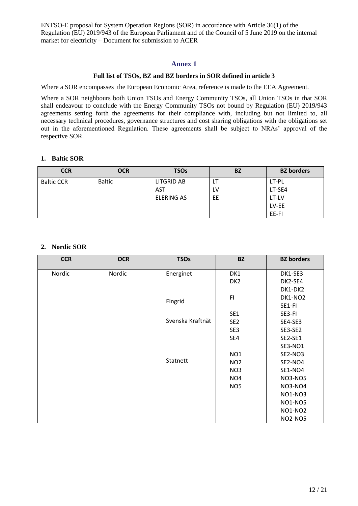#### **Annex 1**

#### **Full list of TSOs, BZ and BZ borders in SOR defined in article 3**

<span id="page-11-0"></span>Where a SOR encompasses the European Economic Area, reference is made to the EEA Agreement.

Where a SOR neighbours both Union TSOs and Energy Community TSOs, all Union TSOs in that SOR shall endeavour to conclude with the Energy Community TSOs not bound by Regulation (EU) 2019/943 agreements setting forth the agreements for their compliance with, including but not limited to, all necessary technical procedures, governance structures and cost sharing obligations with the obligations set out in the aforementioned Regulation. These agreements shall be subject to NRAs' approval of the respective SOR.

#### **1. Baltic SOR**

| <b>CCR</b>        | <b>OCR</b>    | <b>TSOs</b>       | <b>BZ</b> | <b>BZ</b> borders |
|-------------------|---------------|-------------------|-----------|-------------------|
| <b>Baltic CCR</b> | <b>Baltic</b> | LITGRID AB        | LT        | LT-PL             |
|                   |               | <b>AST</b>        | LV        | LT-SE4            |
|                   |               | <b>ELERING AS</b> | EE        | LT-LV             |
|                   |               |                   |           | LV-EE             |
|                   |               |                   |           | EE-FI             |

## **2. Nordic SOR**

| <b>CCR</b> | <b>OCR</b> | <b>TSOs</b>      | <b>BZ</b>       | <b>BZ</b> borders |
|------------|------------|------------------|-----------------|-------------------|
| Nordic     | Nordic     | Energinet        | DK1             | DK1-SE3           |
|            |            |                  | DK <sub>2</sub> | DK2-SE4           |
|            |            |                  |                 | DK1-DK2           |
|            |            | Fingrid          | F1              | <b>DK1-NO2</b>    |
|            |            |                  |                 | SE1-FI            |
|            |            |                  | SE <sub>1</sub> | SE3-FI            |
|            |            | Svenska Kraftnät | SE <sub>2</sub> | SE4-SE3           |
|            |            |                  | SE3             | SE3-SE2           |
|            |            |                  | SE4             | SE2-SE1           |
|            |            |                  |                 | <b>SE3-NO1</b>    |
|            |            |                  | NO <sub>1</sub> | <b>SE2-NO3</b>    |
|            |            | Statnett         | NO <sub>2</sub> | <b>SE2-NO4</b>    |
|            |            |                  | NO <sub>3</sub> | <b>SE1-NO4</b>    |
|            |            |                  | NO <sub>4</sub> | <b>NO3-NO5</b>    |
|            |            |                  | NO <sub>5</sub> | <b>NO3-NO4</b>    |
|            |            |                  |                 | <b>NO1-NO3</b>    |
|            |            |                  |                 | <b>NO1-NO5</b>    |
|            |            |                  |                 | <b>NO1-NO2</b>    |
|            |            |                  |                 | <b>NO2-NO5</b>    |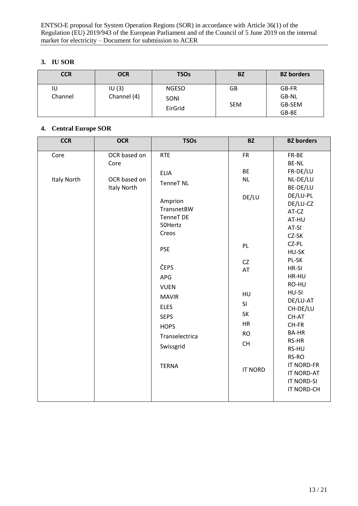## **3. IU SOR**

| <b>CCR</b>    | <b>OCR</b>           | <b>TSOs</b>                     | BZ               | <b>BZ</b> borders                 |
|---------------|----------------------|---------------------------------|------------------|-----------------------------------|
| IU<br>Channel | IU(3)<br>Channel (4) | <b>NGESO</b><br>SONI<br>EirGrid | GB<br><b>SEM</b> | GB-FR<br>GB-NL<br>GB-SEM<br>GB-BE |

## **4. Central Europe SOR**

| <b>CCR</b>         | <b>OCR</b>                         | <b>TSOs</b>                                              | <b>BZ</b>                       | <b>BZ</b> borders                                                  |
|--------------------|------------------------------------|----------------------------------------------------------|---------------------------------|--------------------------------------------------------------------|
| Core               | OCR based on<br>Core               | <b>RTE</b>                                               | <b>FR</b>                       | FR-BE<br><b>BE-NL</b>                                              |
| <b>Italy North</b> | OCR based on<br><b>Italy North</b> | <b>ELIA</b><br><b>TenneT NL</b><br>Amprion<br>TransnetBW | <b>BE</b><br><b>NL</b><br>DE/LU | FR-DE/LU<br>NL-DE/LU<br>BE-DE/LU<br>DE/LU-PL<br>DE/LU-CZ<br>AT-CZ  |
|                    |                                    | <b>TenneT DE</b><br>50Hertz<br>Creos                     |                                 | AT-HU<br>AT-SI<br>CZ-SK<br>CZ-PL                                   |
|                    |                                    | <b>PSE</b>                                               | PL<br><b>CZ</b>                 | HU-SK<br>PL-SK                                                     |
|                    |                                    | ČEPS<br>APG<br><b>VUEN</b>                               | AT                              | HR-SI<br>HR-HU<br>RO-HU                                            |
|                    |                                    | <b>MAVIR</b><br><b>ELES</b>                              | HU<br>SI                        | HU-SI<br>DE/LU-AT<br>CH-DE/LU                                      |
|                    |                                    | <b>SEPS</b><br><b>HOPS</b>                               | SK<br>HR<br><b>RO</b>           | CH-AT<br>CH-FR<br><b>BA-HR</b>                                     |
|                    |                                    | Transelectrica<br>Swissgrid                              | CH                              | RS-HR<br>RS-HU<br>RS-RO                                            |
|                    |                                    | <b>TERNA</b>                                             | <b>IT NORD</b>                  | <b>IT NORD-FR</b><br>IT NORD-AT<br><b>IT NORD-SI</b><br>IT NORD-CH |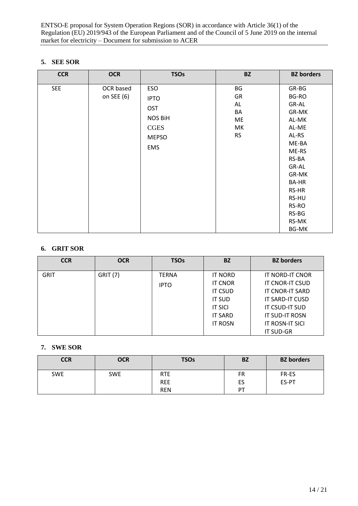#### **5. SEE SOR**

| <b>CCR</b> | <b>OCR</b>              | <b>TSOs</b>                                                                              | <b>BZ</b>                                     | <b>BZ</b> borders                                                                                                                                                                     |
|------------|-------------------------|------------------------------------------------------------------------------------------|-----------------------------------------------|---------------------------------------------------------------------------------------------------------------------------------------------------------------------------------------|
| <b>SEE</b> | OCR based<br>on SEE (6) | ESO<br><b>IPTO</b><br><b>OST</b><br><b>NOS BiH</b><br><b>CGES</b><br><b>MEPSO</b><br>EMS | BG<br>GR<br>AL<br>BA<br>ME<br>МK<br><b>RS</b> | GR-BG<br>BG-RO<br>GR-AL<br>GR-MK<br>AL-MK<br>AL-ME<br>AL-RS<br>ME-BA<br>ME-RS<br>RS-BA<br>GR-AL<br>GR-MK<br><b>BA-HR</b><br>RS-HR<br>RS-HU<br>RS-RO<br>RS-BG<br>RS-MK<br><b>BG-MK</b> |

## **6. GRIT SOR**

| <b>CCR</b>  | <b>OCR</b>      | <b>TSOs</b>  | <b>BZ</b>      | <b>BZ</b> borders      |
|-------------|-----------------|--------------|----------------|------------------------|
| <b>GRIT</b> | <b>GRIT (7)</b> | <b>TERNA</b> | <b>IT NORD</b> | IT NORD-IT CNOR        |
|             |                 | <b>IPTO</b>  | <b>IT CNOR</b> | IT CNOR-IT CSUD        |
|             |                 |              | <b>IT CSUD</b> | <b>IT CNOR-IT SARD</b> |
|             |                 |              | <b>IT SUD</b>  | IT SARD-IT CUSD        |
|             |                 |              | <b>IT SICI</b> | IT CSUD-IT SUD         |
|             |                 |              | <b>IT SARD</b> | <b>IT SUD-IT ROSN</b>  |
|             |                 |              | <b>IT ROSN</b> | IT ROSN-IT SICI        |
|             |                 |              |                | <b>IT SUD-GR</b>       |

# **7. SWE SOR**

| <b>CCR</b> | <b>OCR</b> | <b>TSOs</b>              | <b>BZ</b> | <b>BZ</b> borders |
|------------|------------|--------------------------|-----------|-------------------|
| <b>SWE</b> | <b>SWE</b> | <b>RTE</b><br><b>REE</b> | FR<br>ES  | FR-ES<br>ES-PT    |
|            |            | <b>REN</b>               | PT        |                   |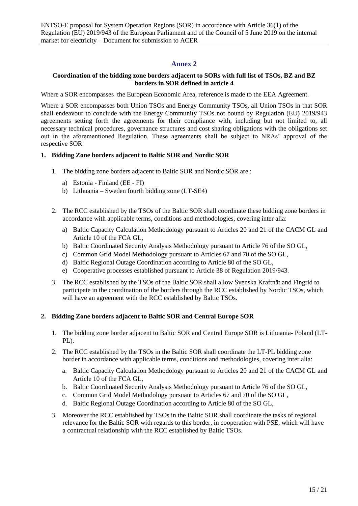## **Annex 2**

#### <span id="page-14-0"></span>**Coordination of the bidding zone borders adjacent to SORs with full list of TSOs, BZ and BZ borders in SOR defined in article 4**

Where a SOR encompasses the European Economic Area, reference is made to the EEA Agreement.

Where a SOR encompasses both Union TSOs and Energy Community TSOs, all Union TSOs in that SOR shall endeavour to conclude with the Energy Community TSOs not bound by Regulation (EU) 2019/943 agreements setting forth the agreements for their compliance with, including but not limited to, all necessary technical procedures, governance structures and cost sharing obligations with the obligations set out in the aforementioned Regulation. These agreements shall be subject to NRAs' approval of the respective SOR.

#### **1. Bidding Zone borders adjacent to Baltic SOR and Nordic SOR**

- 1. The bidding zone borders adjacent to Baltic SOR and Nordic SOR are :
	- a) Estonia Finland (EE FI)
	- b) Lithuania Sweden fourth bidding zone (LT-SE4)
- 2. The RCC established by the TSOs of the Baltic SOR shall coordinate these bidding zone borders in accordance with applicable terms, conditions and methodologies, covering inter alia:
	- a) Baltic Capacity Calculation Methodology pursuant to Articles 20 and 21 of the CACM GL and Article 10 of the FCA GL,
	- b) Baltic Coordinated Security Analysis Methodology pursuant to Article 76 of the SO GL,
	- c) Common Grid Model Methodology pursuant to Articles 67 and 70 of the SO GL,
	- d) Baltic Regional Outage Coordination according to Article 80 of the SO GL,
	- e) Cooperative processes established pursuant to Article 38 of Regulation 2019/943.
- 3. The RCC established by the TSOs of the Baltic SOR shall allow Svenska Kraftnät and Fingrid to participate in the coordination of the borders through the RCC established by Nordic TSOs, which will have an agreement with the RCC established by Baltic TSOs.

#### **2. Bidding Zone borders adjacent to Baltic SOR and Central Europe SOR**

- 1. The bidding zone border adjacent to Baltic SOR and Central Europe SOR is Lithuania- Poland (LT-PL).
- 2. The RCC established by the TSOs in the Baltic SOR shall coordinate the LT-PL bidding zone border in accordance with applicable terms, conditions and methodologies, covering inter alia:
	- a. Baltic Capacity Calculation Methodology pursuant to Articles 20 and 21 of the CACM GL and Article 10 of the FCA GL,
	- b. Baltic Coordinated Security Analysis Methodology pursuant to Article 76 of the SO GL,
	- c. Common Grid Model Methodology pursuant to Articles 67 and 70 of the SO GL,
	- d. Baltic Regional Outage Coordination according to Article 80 of the SO GL,
- 3. Moreover the RCC established by TSOs in the Baltic SOR shall coordinate the tasks of regional relevance for the Baltic SOR with regards to this border, in cooperation with PSE, which will have a contractual relationship with the RCC established by Baltic TSOs.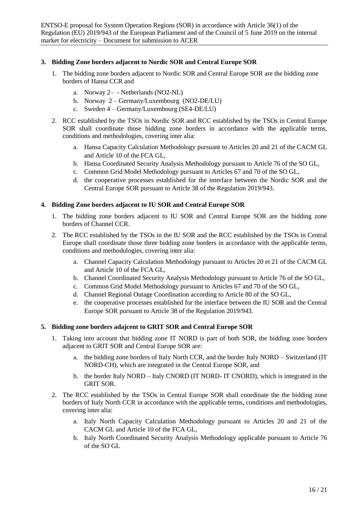#### **3. Bidding Zone borders adjacent to Nordic SOR and Central Europe SOR**

- 1. The bidding zone borders adjacent to Nordic SOR and Central Europe SOR are the bidding zone borders of Hansa CCR and
	- a. Norway 2– Netherlands (NO2-NL)
	- b. Norway 2 Germany/Luxembourg (NO2-DE/LU)
	- c. Sweden 4 Germany/Luxembourg (SE4-DE/LU)
- 2. RCC established by the TSOs in Nordic SOR and RCC established by the TSOs in Central Europe SOR shall coordinate those bidding zone borders in accordance with the applicable terms, conditions and methodologies, covering inter alia:
	- a. Hansa Capacity Calculation Methodology pursuant to Articles 20 and 21 of the CACM GL and Article 10 of the FCA GL,
	- b. Hansa Coordinated Security Analysis Methodology pursuant to Article 76 of the SO GL,
	- c. Common Grid Model Methodology pursuant to Articles 67 and 70 of the SO GL,
	- d. the cooperative processes established for the interface between the Nordic SOR and the Central Europe SOR pursuant to Article 38 of the Regulation 2019/943.

#### **4. Bidding Zone borders adjacent to IU SOR and Central Europe SOR**

- 1. The bidding zone borders adjacent to IU SOR and Central Europe SOR are the bidding zone borders of Channel CCR.
- 2. The RCC established by the TSOs in the IU SOR and the RCC established by the TSOs in Central Europe shall coordinate those three bidding zone borders in accordance with the applicable terms, conditions and methodologies, covering inter alia:
	- a. Channel Capacity Calculation Methodology pursuant to Articles 20 et 21 of the CACM GL and Article 10 of the FCA GL,
	- b. Channel Coordinated Security Analysis Methodology pursuant to Article 76 of the SO GL,
	- c. Common Grid Model Methodology pursuant to Articles 67 and 70 of the SO GL,
	- d. Channel Regional Outage Coordination according to Article 80 of the SO GL,
	- e. the cooperative processes established for the interface between the IU SOR and the Central Europe SOR pursuant to Article 38 of the Regulation 2019/943.

#### **5. Bidding zone borders adajcent to GRIT SOR and Central Europe SOR**

- 1. Taking into account that bidding zone IT NORD is part of both SOR, the bidding zone borders adjacent to GRIT SOR and Central Europe SOR are:
	- a. the bidding zone borders of Italy North CCR, and the border Italy NORD Switzerland (IT NORD-CH), which are integrated in the Central Europe SOR, and
	- b. the border Italy NORD Italy CNORD (IT NORD- IT CNORD), which is integrated in the GRIT SOR.
- 2. The RCC established by the TSOs in Central Europe SOR shall coordinate the the bidding zone borders of Italy North CCR in accordance with the applicable terms, conditions and methodologies, covering inter alia:
	- a. Italy North Capacity Calculation Methodology pursuant to Articles 20 and 21 of the CACM GL and Article 10 of the FCA GL,
	- b. Italy North Coordinated Security Analysis Methodology applicable pursuant to Article 76 of the SO GL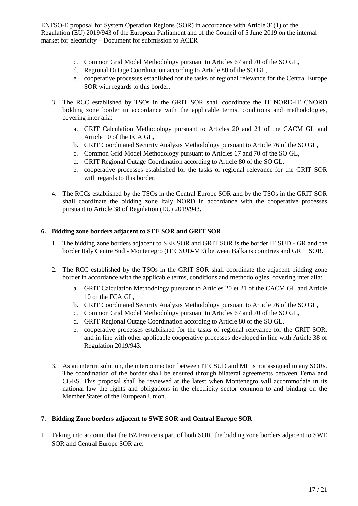- c. Common Grid Model Methodology pursuant to Articles 67 and 70 of the SO GL,
- d. Regional Outage Coordination according to Article 80 of the SO GL,
- e. cooperative processes established for the tasks of regional relevance for the Central Europe SOR with regards to this border.
- 3. The RCC established by TSOs in the GRIT SOR shall coordinate the IT NORD-IT CNORD bidding zone border in accordance with the applicable terms, conditions and methodologies, covering inter alia:
	- a. GRIT Calculation Methodology pursuant to Articles 20 and 21 of the CACM GL and Article 10 of the FCA GL,
	- b. GRIT Coordinated Security Analysis Methodology pursuant to Article 76 of the SO GL,
	- c. Common Grid Model Methodology pursuant to Articles 67 and 70 of the SO GL,
	- d. GRIT Regional Outage Coordination according to Article 80 of the SO GL,
	- e. cooperative processes established for the tasks of regional relevance for the GRIT SOR with regards to this border.
- 4. The RCCs established by the TSOs in the Central Europe SOR and by the TSOs in the GRIT SOR shall coordinate the bidding zone Italy NORD in accordance with the cooperative processes pursuant to Article 38 of Regulation (EU) 2019/943.

#### **6. Bidding zone borders adjacent to SEE SOR and GRIT SOR**

- 1. The bidding zone borders adjacent to SEE SOR and GRIT SOR is the border IT SUD GR and the border Italy Centre Sud - Montenegro (IT CSUD-ME) between Balkans countries and GRIT SOR.
- 2. The RCC established by the TSOs in the GRIT SOR shall coordinate the adjacent bidding zone border in accordance with the applicable terms, conditions and methodologies, covering inter alia:
	- a. GRIT Calculation Methodology pursuant to Articles 20 et 21 of the CACM GL and Article 10 of the FCA GL,
	- b. GRIT Coordinated Security Analysis Methodology pursuant to Article 76 of the SO GL,
	- c. Common Grid Model Methodology pursuant to Articles 67 and 70 of the SO GL,
	- d. GRIT Regional Outage Coordination according to Article 80 of the SO GL,
	- e. cooperative processes established for the tasks of regional relevance for the GRIT SOR, and in line with other applicable cooperative processes developed in line with Article 38 of Regulation 2019/943.
- 3. As an interim solution, the interconnection between IT CSUD and ME is not assigned to any SORs. The coordination of the border shall be ensured through bilateral agreements between Terna and CGES. This proposal shall be reviewed at the latest when Montenegro will accommodate in its national law the rights and obligations in the electricity sector common to and binding on the Member States of the European Union.

#### **7. Bidding Zone borders adjacent to SWE SOR and Central Europe SOR**

1. Taking into account that the BZ France is part of both SOR, the bidding zone borders adjacent to SWE SOR and Central Europe SOR are: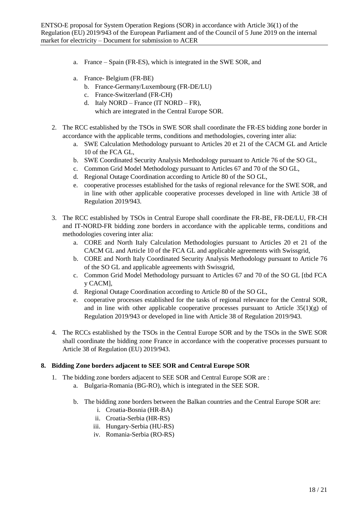- a. France Spain (FR-ES), which is integrated in the SWE SOR, and
- a. France- Belgium (FR-BE)
	- b. France-Germany/Luxembourg (FR-DE/LU)
	- c. France-Switzerland (FR-CH)
	- d. Italy NORD France (IT NORD FR), which are integrated in the Central Europe SOR.
- 2. The RCC established by the TSOs in SWE SOR shall coordinate the FR-ES bidding zone border in accordance with the applicable terms, conditions and methodologies, covering inter alia:
	- a. SWE Calculation Methodology pursuant to Articles 20 et 21 of the CACM GL and Article 10 of the FCA GL,
	- b. SWE Coordinated Security Analysis Methodology pursuant to Article 76 of the SO GL,
	- c. Common Grid Model Methodology pursuant to Articles 67 and 70 of the SO GL,
	- d. Regional Outage Coordination according to Article 80 of the SO GL,
	- e. cooperative processes established for the tasks of regional relevance for the SWE SOR, and in line with other applicable cooperative processes developed in line with Article 38 of Regulation 2019/943.
- 3. The RCC established by TSOs in Central Europe shall coordinate the FR-BE, FR-DE/LU, FR-CH and IT-NORD-FR bidding zone borders in accordance with the applicable terms, conditions and methodologies covering inter alia:
	- a. CORE and North Italy Calculation Methodologies pursuant to Articles 20 et 21 of the CACM GL and Article 10 of the FCA GL and applicable agreements with Swissgrid,
	- b. CORE and North Italy Coordinated Security Analysis Methodology pursuant to Article 76 of the SO GL and applicable agreements with Swissgrid,
	- c. Common Grid Model Methodology pursuant to Articles 67 and 70 of the SO GL [tbd FCA y CACM],
	- d. Regional Outage Coordination according to Article 80 of the SO GL,
	- e. cooperative processes established for the tasks of regional relevance for the Central SOR, and in line with other applicable cooperative processes pursuant to Article  $35(1)(g)$  of Regulation 2019/943 or developed in line with Article 38 of Regulation 2019/943.
- 4. The RCCs established by the TSOs in the Central Europe SOR and by the TSOs in the SWE SOR shall coordinate the bidding zone France in accordance with the cooperative processes pursuant to Article 38 of Regulation (EU) 2019/943.

#### **8. Bidding Zone borders adjacent to SEE SOR and Central Europe SOR**

- 1. The bidding zone borders adjacent to SEE SOR and Central Europe SOR are :
	- a. Bulgaria-Romania (BG-RO), which is integrated in the SEE SOR.
	- b. The bidding zone borders between the Balkan countries and the Central Europe SOR are:
		- i. Croatia-Bosnia (HR-BA)
		- ii. Croatia-Serbia (HR-RS)
		- iii. Hungary-Serbia (HU-RS)
		- iv. Romania-Serbia (RO-RS)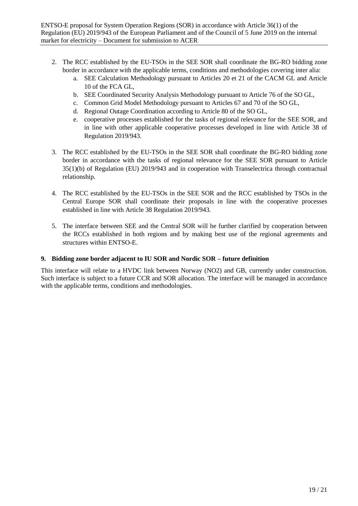- 2. The RCC established by the EU-TSOs in the SEE SOR shall coordinate the BG-RO bidding zone border in accordance with the applicable terms, conditions and methodologies covering inter alia:
	- a. SEE Calculation Methodology pursuant to Articles 20 et 21 of the CACM GL and Article 10 of the FCA GL,
	- b. SEE Coordinated Security Analysis Methodology pursuant to Article 76 of the SO GL,
	- c. Common Grid Model Methodology pursuant to Articles 67 and 70 of the SO GL,
	- d. Regional Outage Coordination according to Article 80 of the SO GL,
	- e. cooperative processes established for the tasks of regional relevance for the SEE SOR, and in line with other applicable cooperative processes developed in line with Article 38 of Regulation 2019/943.
- 3. The RCC established by the EU-TSOs in the SEE SOR shall coordinate the BG-RO bidding zone border in accordance with the tasks of regional relevance for the SEE SOR pursuant to Article 35(1)(b) of Regulation (EU) 2019/943 and in cooperation with Transelectrica through contractual relationship.
- 4. The RCC established by the EU-TSOs in the SEE SOR and the RCC established by TSOs in the Central Europe SOR shall coordinate their proposals in line with the cooperative processes established in line with Article 38 Regulation 2019/943.
- 5. The interface between SEE and the Central SOR will be further clarified by cooperation between the RCCs established in both regions and by making best use of the regional agreements and structures within ENTSO-E.

#### **9. Bidding zone border adjacent to IU SOR and Nordic SOR – future definition**

This interface will relate to a HVDC link between Norway (NO2) and GB, currently under construction. Such interface is subject to a future CCR and SOR allocation. The interface will be managed in accordance with the applicable terms, conditions and methodologies.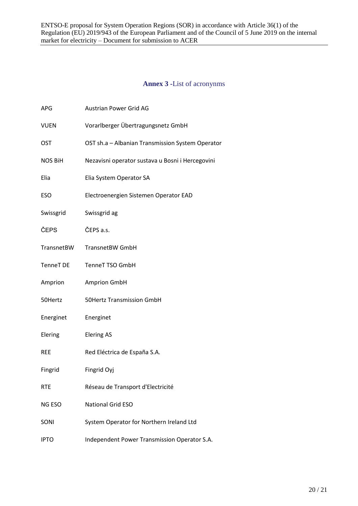# **Annex 3 -**List of acronynms

<span id="page-19-0"></span>

| APG              | <b>Austrian Power Grid AG</b>                    |
|------------------|--------------------------------------------------|
| <b>VUEN</b>      | Vorarlberger Übertragungsnetz GmbH               |
| <b>OST</b>       | OST sh.a - Albanian Transmission System Operator |
| <b>NOS BiH</b>   | Nezavisni operator sustava u Bosni i Hercegovini |
| Elia             | Elia System Operator SA                          |
| ESO              | Electroenergien Sistemen Operator EAD            |
| Swissgrid        | Swissgrid ag                                     |
| ČEPS             | ČEPS a.s.                                        |
| TransnetBW       | <b>TransnetBW GmbH</b>                           |
| <b>TenneT DE</b> | <b>TenneT TSO GmbH</b>                           |
| Amprion          | <b>Amprion GmbH</b>                              |
| 50Hertz          | <b>50Hertz Transmission GmbH</b>                 |
| Energinet        | Energinet                                        |
| Elering          | <b>Elering AS</b>                                |
| <b>REE</b>       | Red Eléctrica de España S.A.                     |
| Fingrid          | Fingrid Oyj                                      |
| <b>RTE</b>       | Réseau de Transport d'Electricité                |
| NG ESO           | <b>National Grid ESO</b>                         |
| SONI             | System Operator for Northern Ireland Ltd         |
| <b>IPTO</b>      | Independent Power Transmission Operator S.A.     |